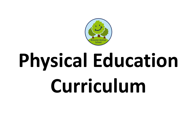

# **Physical Education Curriculum**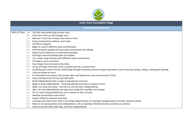

| <b>Early Years Foundation Stage</b> |                                                                                                                                                                |  |  |  |  |  |
|-------------------------------------|----------------------------------------------------------------------------------------------------------------------------------------------------------------|--|--|--|--|--|
| <b>Physical Development</b>         |                                                                                                                                                                |  |  |  |  |  |
| <b>Birth to Three</b>               | Lift their head while lying on their front.<br>$\bullet$                                                                                                       |  |  |  |  |  |
|                                     | Push their chest up with straight arms.<br>$\bullet$                                                                                                           |  |  |  |  |  |
|                                     | Roll over: from front to back, then back to front.<br>$\bullet$                                                                                                |  |  |  |  |  |
|                                     | Enjoy moving when outdoors and inside.<br>$\bullet$                                                                                                            |  |  |  |  |  |
|                                     | Sit without support.<br>$\bullet$                                                                                                                              |  |  |  |  |  |
|                                     | Begin to crawl in different ways and directions.<br>$\bullet$                                                                                                  |  |  |  |  |  |
|                                     | Pull themselves upright and bouncing in preparation for walking.<br>$\bullet$                                                                                  |  |  |  |  |  |
|                                     | Reach out for objects as co-ordination develops.<br>$\bullet$                                                                                                  |  |  |  |  |  |
|                                     | Eat finger food and develop likes and dislikes.<br>$\bullet$                                                                                                   |  |  |  |  |  |
|                                     | Try a wider range of foods with different tastes and textures.<br>$\bullet$                                                                                    |  |  |  |  |  |
|                                     | Lift objects up to suck them.<br>$\bullet$                                                                                                                     |  |  |  |  |  |
|                                     | Pass things from one hand to the other.<br>$\bullet$                                                                                                           |  |  |  |  |  |
|                                     | Let go of things and hands them to another person, or drops them.<br>$\bullet$                                                                                 |  |  |  |  |  |
|                                     | Gradually gain control of their whole body through continual practice of large movements, such as waving, kicking, rolling, crawling and walking.<br>$\bullet$ |  |  |  |  |  |
|                                     | Clap and stamp to music.<br>$\bullet$                                                                                                                          |  |  |  |  |  |
|                                     | Fit themselves into spaces, like tunnels, dens and large boxes, and move around in them.<br>$\bullet$                                                          |  |  |  |  |  |
|                                     | Enjoy starting to kick, throw and catch balls.<br>$\bullet$                                                                                                    |  |  |  |  |  |
|                                     | Build independently with a range of appropriate resources.<br>$\bullet$                                                                                        |  |  |  |  |  |
|                                     | Begin to walk independently - choosing appropriate props to support at first.<br>$\bullet$                                                                     |  |  |  |  |  |
|                                     | Walk, run, jump and climb – and start to use the stairs independently.<br>$\bullet$                                                                            |  |  |  |  |  |
|                                     | Spin, roll and independently use ropes and swings (for example, tyre swings).<br>$\bullet$                                                                     |  |  |  |  |  |
|                                     | Sit on a push-along wheeled toy, use a scooter or ride a tricycle.<br>$\bullet$                                                                                |  |  |  |  |  |
|                                     | Develop manipulation and control.<br>$\bullet$                                                                                                                 |  |  |  |  |  |
|                                     | Explore different materials and tools.<br>$\bullet$                                                                                                            |  |  |  |  |  |
|                                     | Use large and small motor skills to do things independently, for example manage buttons and zips, and pour drinks.<br>$\bullet$                                |  |  |  |  |  |
|                                     | Show an increasing desire to be independent, such as wanting to feed themselves and dress or undress.<br>$\bullet$                                             |  |  |  |  |  |
|                                     | Learn to use the toilet with help, and then independently<br>$\bullet$                                                                                         |  |  |  |  |  |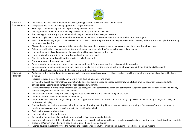

| Three and      | Continue to develop their movement, balancing, riding (scooters, trikes and bikes) and ball skills.<br>$\bullet$                                                                                                                                  |
|----------------|---------------------------------------------------------------------------------------------------------------------------------------------------------------------------------------------------------------------------------------------------|
| Four year olds | Go up steps and stairs, or climb up apparatus, using alternate feet.<br>$\bullet$                                                                                                                                                                 |
|                | Skip, hop, stand on one leg and hold a pose for a game like musical statues.<br>$\bullet$                                                                                                                                                         |
|                | Use large-muscle movements to wave flags and streamers, paint and make marks.<br>$\bullet$                                                                                                                                                        |
|                | Start taking part in some group activities which they make up for themselves, or in teams.<br>$\bullet$                                                                                                                                           |
|                | Are increasingly able to use and remember sequences and patterns of movements which are related to music and rhythm.                                                                                                                              |
|                | Match their developing physical skills to tasks and activities in the setting. For example, they decide whether to crawl, walk or run across a plank, depending                                                                                   |
|                | on its length and width.                                                                                                                                                                                                                          |
|                | Choose the right resources to carry out their own plan. For example, choosing a spade to enlarge a small hole they dug with a trowel.<br>$\bullet$                                                                                                |
|                | Collaborate with others to manage large items, such as moving a long plank safely, carrying large hollow blocks.<br>$\bullet$                                                                                                                     |
|                | Use one-handed tools and equipment, for example, making snips in paper with scissors.<br>$\bullet$                                                                                                                                                |
|                | Use a comfortable grip with good control when holding pens and pencils.<br>$\bullet$                                                                                                                                                              |
|                | Start to eat independently and learning how to use a knife and fork.<br>$\bullet$                                                                                                                                                                 |
|                | Show a preference for a dominant hand.<br>$\bullet$                                                                                                                                                                                               |
|                | Be increasingly independent as they get dressed and undressed, for example, putting coats on and doing up zips.<br>$\bullet$                                                                                                                      |
|                | Be increasingly independent in meeting their own care needs, e.g. brushing teeth, using the toilet, washing and drying their hands thoroughly.<br>$\bullet$                                                                                       |
|                | Make healthy choices about food, drink, activity and tooth brushing                                                                                                                                                                               |
| Children in    | Revise and refine the fundamental movement skills they have already acquired: - rolling - crawling - walking - jumping - running - hopping - skipping -<br>$\bullet$                                                                              |
| Reception      | climbing                                                                                                                                                                                                                                          |
|                | Progress towards a more fluent style of moving, with developing control and grace.<br>$\bullet$                                                                                                                                                   |
|                | Develop the overall body strength, co-ordination, balance and agility needed to engage successfully with future physical education sessions and other<br>$\bullet$<br>physical disciplines including dance, gymnastics, sport and swimming.       |
|                | Develop their small motor skills so that they can use a range of tools competently, safely and confidently. Suggested tools: pencils for drawing and writing,<br>paintbrushes, scissors, knives, forks and spoons.                                |
|                | Use their core muscle strength to achieve a good posture when sitting at a table or sitting on the floor.<br>$\bullet$                                                                                                                            |
|                | Combine different movements with ease and fluency.<br>$\bullet$                                                                                                                                                                                   |
|                | Confidently and safely use a range of large and small apparatus indoors and outside, alone and in a group. • Develop overall body-strength, balance, co-<br>$\bullet$                                                                             |
|                | ordination and agility.                                                                                                                                                                                                                           |
|                | Further develop and refine a range of ball skills including: throwing, catching, kicking, passing, batting, and aiming. • Develop confidence, competence,<br>$\bullet$<br>precision and accuracy when engaging in activities that involve a ball. |
|                | Begin to form recognisable letters<br>$\bullet$                                                                                                                                                                                                   |
|                | Uses a pencil and holds it effectively.<br>$\bullet$                                                                                                                                                                                              |
|                |                                                                                                                                                                                                                                                   |
|                | Develop the foundations of a handwriting style which is fast, accurate and efficient.<br>$\bullet$                                                                                                                                                |
|                | Know and talk about the different factors that support their overall health and wellbeing: - regular physical activity - healthy eating - tooth brushing - sensible                                                                               |
|                | amounts of 'screen time' - having a good sleep routine - being a safe pedestrian                                                                                                                                                                  |
|                | Further develop the skills they need to manage the school day successfully: - lining up and queuing - mealtimes - personal hygiene                                                                                                                |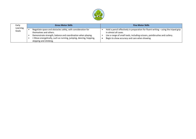

| Early             | <b>Gross Motor Skills</b> |                                                                                                                                                                                                                                                       |  | <b>Fine Motor Skills</b>                                                                                                                                                                                                                 |  |  |
|-------------------|---------------------------|-------------------------------------------------------------------------------------------------------------------------------------------------------------------------------------------------------------------------------------------------------|--|------------------------------------------------------------------------------------------------------------------------------------------------------------------------------------------------------------------------------------------|--|--|
| Learning<br>Goals |                           | Negotiate space and obstacles safely, with consideration for<br>themselves and others.<br>Demonstrate strength, balance and coordination when playing.<br>• Move energetically, such as running, jumping, dancing, hopping,<br>skipping and climbing. |  | Hold a pencil effectively in preparation for fluent writing – using the tripod grip<br>in almost all cases.<br>Use a range of small tools, including scissors, paintbrushes and cutlery.<br>Begin to show accuracy and care when drawing |  |  |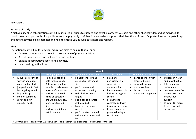

# **Key Stage 1**

## **Purpose of study**

A high quality physical education curriculum inspires all pupils to succeed and excel in competitive sport and other physically demanding activities. It should provide opportunities for pupils to become physically confident in a way which supports their health and fitness. Opportunities to compete in sport and other activities build character and help to embed values such as fairness and respect.

### **Aims**

The national curriculum for physical education aims to ensure that all pupils:

- Develop competence to excel in a broad range of physical activities.
- Are physically active for sustained periods of time.
- Engage in competitive sports and activities.
- Lead healthy, active lives.

| Year 1                                                                                                                                                                                   |                                                                                                                                                                                                                                                                 |                                                                                                                                                                                                                                                                                                           |                                                                                                                                                                                                                                                               |                                                                                                                           |                                                                                                                                                                                                                  |  |  |
|------------------------------------------------------------------------------------------------------------------------------------------------------------------------------------------|-----------------------------------------------------------------------------------------------------------------------------------------------------------------------------------------------------------------------------------------------------------------|-----------------------------------------------------------------------------------------------------------------------------------------------------------------------------------------------------------------------------------------------------------------------------------------------------------|---------------------------------------------------------------------------------------------------------------------------------------------------------------------------------------------------------------------------------------------------------------|---------------------------------------------------------------------------------------------------------------------------|------------------------------------------------------------------------------------------------------------------------------------------------------------------------------------------------------------------|--|--|
| <b>Basic Movement</b>                                                                                                                                                                    | <b>Developing balance</b>                                                                                                                                                                                                                                       | <b>Agility and Co-ordination</b>                                                                                                                                                                                                                                                                          | <b>Team Games</b>                                                                                                                                                                                                                                             | <b>Movement Patterns</b>                                                                                                  | <b>Swimming*</b>                                                                                                                                                                                                 |  |  |
| Move in a variety of<br>ways in and out of<br>cones and obstacles.<br>jump with both feet<br>leaving the ground.<br>hop and skip<br>stop on command<br>sprint and run<br>jump for height | single balance and<br>hold for 5 seconds<br>Balance on one foot.<br>be able to balance on<br>a piece of apparatus<br>perform a side roll.<br>climb on apparatus<br>line walk (e.g. follow<br>a pre constructed<br>line)<br>perform a point and<br>patch balance | be able to throw and<br>$\bullet$<br>catch a ball of various<br>size<br>perform over and<br>under arm throwing.<br>roll a ball to an end<br>target<br>kick a ball to a target<br>dribble a ball<br>$\bullet$<br>balance a ball on a<br>racket<br>perform a two handed<br>strike with a racket and<br>ball | be able to<br>$\bullet$<br>participate in a<br>game with an<br>opposing side.<br>be able to control a<br>ball within a game<br>setting<br>use hands to<br>control a ball with<br>increasing accuracy<br>be able to play a<br>game following a<br>set of rules | dance to link in with<br>learning theme<br>copy a dance pattern<br>move to a beat<br>link two dance<br>movements together | put face in water<br>$\bullet$<br>and blow bubbles.<br>fully submerge<br>under water<br>be able to swim 20<br>metres across the<br>pool without<br>support<br>to swim 10 metres<br>front crawl and<br>backstroke |  |  |
| Swimming is not statutory at KS1 but we aim to give children this experience to build water confidence                                                                                   |                                                                                                                                                                                                                                                                 |                                                                                                                                                                                                                                                                                                           |                                                                                                                                                                                                                                                               |                                                                                                                           |                                                                                                                                                                                                                  |  |  |